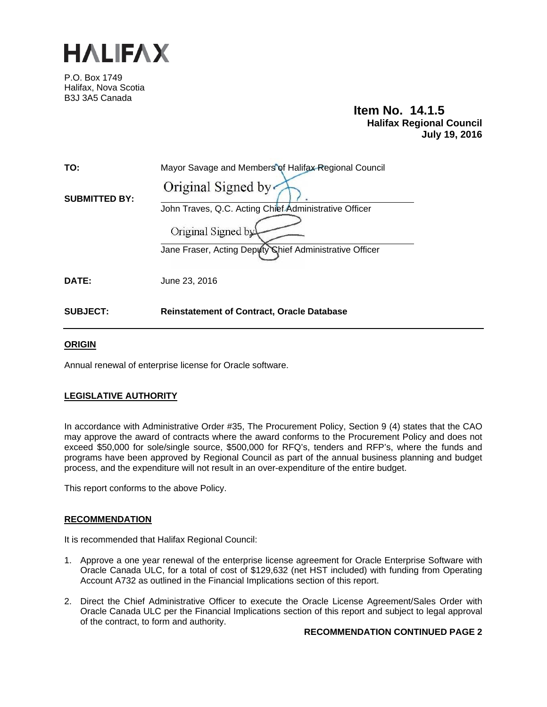

P.O. Box 1749 Halifax, Nova Scotia B3J 3A5 Canada

# **Item No. 14.1.5 Halifax Regional Council July 19, 2016**

| TO:                  | Mayor Savage and Members of Halifax Regional Council                          |
|----------------------|-------------------------------------------------------------------------------|
| <b>SUBMITTED BY:</b> | Original Signed by                                                            |
|                      | John Traves, Q.C. Acting Chief Administrative Officer                         |
|                      | Original Signed by<br>Jane Fraser, Acting Deputy Chief Administrative Officer |
|                      |                                                                               |
| <b>DATE:</b>         | June 23, 2016                                                                 |
|                      |                                                                               |
| <b>SUBJECT:</b>      | <b>Reinstatement of Contract, Oracle Database</b>                             |

# **ORIGIN**

Annual renewal of enterprise license for Oracle software.

# **LEGISLATIVE AUTHORITY**

In accordance with Administrative Order #35, The Procurement Policy, Section 9 (4) states that the CAO may approve the award of contracts where the award conforms to the Procurement Policy and does not exceed \$50,000 for sole/single source, \$500,000 for RFQ's, tenders and RFP's, where the funds and programs have been approved by Regional Council as part of the annual business planning and budget process, and the expenditure will not result in an over-expenditure of the entire budget.

This report conforms to the above Policy.

### **RECOMMENDATION**

It is recommended that Halifax Regional Council:

- 1. Approve a one year renewal of the enterprise license agreement for Oracle Enterprise Software with Oracle Canada ULC, for a total of cost of \$129,632 (net HST included) with funding from Operating Account A732 as outlined in the Financial Implications section of this report.
- 2. Direct the Chief Administrative Officer to execute the Oracle License Agreement/Sales Order with Oracle Canada ULC per the Financial Implications section of this report and subject to legal approval of the contract, to form and authority.

#### **RECOMMENDATION CONTINUED PAGE 2**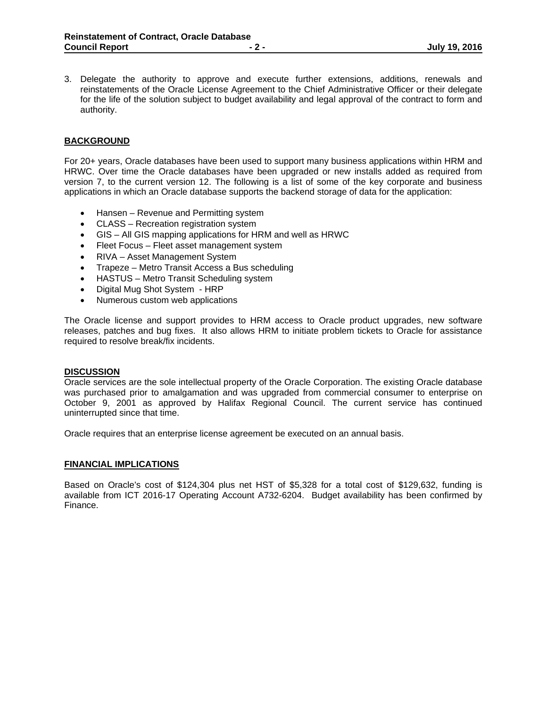3. Delegate the authority to approve and execute further extensions, additions, renewals and reinstatements of the Oracle License Agreement to the Chief Administrative Officer or their delegate for the life of the solution subject to budget availability and legal approval of the contract to form and authority.

### **BACKGROUND**

For 20+ years, Oracle databases have been used to support many business applications within HRM and HRWC. Over time the Oracle databases have been upgraded or new installs added as required from version 7, to the current version 12. The following is a list of some of the key corporate and business applications in which an Oracle database supports the backend storage of data for the application:

- Hansen Revenue and Permitting system
- CLASS Recreation registration system
- GIS All GIS mapping applications for HRM and well as HRWC
- Fleet Focus Fleet asset management system
- RIVA Asset Management System
- Trapeze Metro Transit Access a Bus scheduling
- HASTUS Metro Transit Scheduling system
- Digital Mug Shot System HRP
- Numerous custom web applications

The Oracle license and support provides to HRM access to Oracle product upgrades, new software releases, patches and bug fixes. It also allows HRM to initiate problem tickets to Oracle for assistance required to resolve break/fix incidents.

#### **DISCUSSION**

Oracle services are the sole intellectual property of the Oracle Corporation. The existing Oracle database was purchased prior to amalgamation and was upgraded from commercial consumer to enterprise on October 9, 2001 as approved by Halifax Regional Council. The current service has continued uninterrupted since that time.

Oracle requires that an enterprise license agreement be executed on an annual basis.

#### **FINANCIAL IMPLICATIONS**

Based on Oracle's cost of \$124,304 plus net HST of \$5,328 for a total cost of \$129,632, funding is available from ICT 2016-17 Operating Account A732-6204. Budget availability has been confirmed by Finance.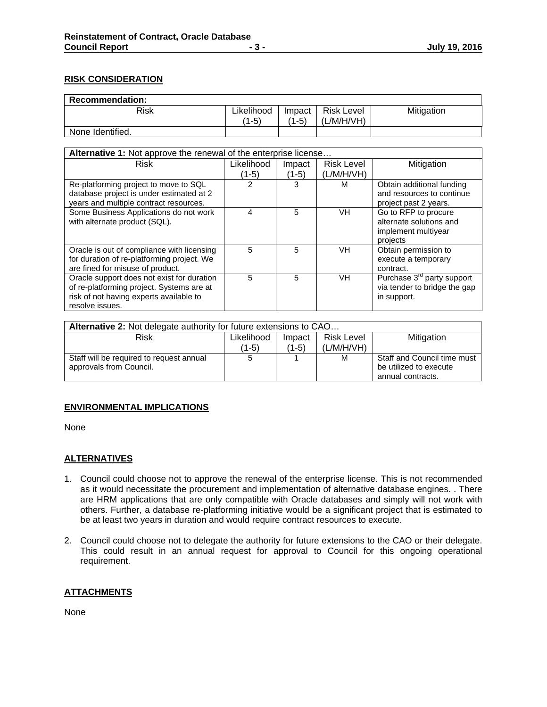# **RISK CONSIDERATION**

| <b>Recommendation:</b> |            |        |                   |            |
|------------------------|------------|--------|-------------------|------------|
| Risk                   | Likelihood | Impact | <b>Risk Level</b> | Mitigation |
|                        | $(1-5)$    | (1-5)  | (L/M/H/VH)        |            |
| None Identified.       |            |        |                   |            |

| <b>Alternative 1:</b> Not approve the renewal of the enterprise license |            |        |                   |                                        |
|-------------------------------------------------------------------------|------------|--------|-------------------|----------------------------------------|
| <b>Risk</b>                                                             | Likelihood | Impact | <b>Risk Level</b> | Mitigation                             |
|                                                                         | $(1-5)$    | (1-5)  | (L/M/H/VH)        |                                        |
| Re-platforming project to move to SQL                                   |            | 3      | м                 | Obtain additional funding              |
| database project is under estimated at 2                                |            |        |                   | and resources to continue              |
| years and multiple contract resources.                                  |            |        |                   | project past 2 years.                  |
| Some Business Applications do not work                                  | 4          | 5      | VH                | Go to RFP to procure                   |
| with alternate product (SQL).                                           |            |        |                   | alternate solutions and                |
|                                                                         |            |        |                   | implement multiyear                    |
|                                                                         |            |        |                   | projects                               |
| Oracle is out of compliance with licensing                              | 5          | 5      | VH                | Obtain permission to                   |
| for duration of re-platforming project. We                              |            |        |                   | execute a temporary                    |
| are fined for misuse of product.                                        |            |        |                   | contract.                              |
| Oracle support does not exist for duration                              | 5          | 5      | VH                | Purchase 3 <sup>rd</sup> party support |
| of re-platforming project. Systems are at                               |            |        |                   | via tender to bridge the gap           |
| risk of not having experts available to                                 |            |        |                   | in support.                            |
| resolve issues.                                                         |            |        |                   |                                        |

| Alternative 2: Not delegate authority for future extensions to CAO |            |        |                   |                             |
|--------------------------------------------------------------------|------------|--------|-------------------|-----------------------------|
| Risk                                                               | Likelihood | Impact | <b>Risk Level</b> | Mitigation                  |
|                                                                    | (1-5)      | (1-5)  | (L/M/H/VH)        |                             |
| Staff will be required to request annual                           |            |        | M                 | Staff and Council time must |
| approvals from Council.                                            |            |        |                   | be utilized to execute      |
|                                                                    |            |        |                   | annual contracts.           |

# **ENVIRONMENTAL IMPLICATIONS**

None

### **ALTERNATIVES**

- 1. Council could choose not to approve the renewal of the enterprise license. This is not recommended as it would necessitate the procurement and implementation of alternative database engines. . There are HRM applications that are only compatible with Oracle databases and simply will not work with others. Further, a database re-platforming initiative would be a significant project that is estimated to be at least two years in duration and would require contract resources to execute.
- 2. Council could choose not to delegate the authority for future extensions to the CAO or their delegate. This could result in an annual request for approval to Council for this ongoing operational requirement.

### **ATTACHMENTS**

None